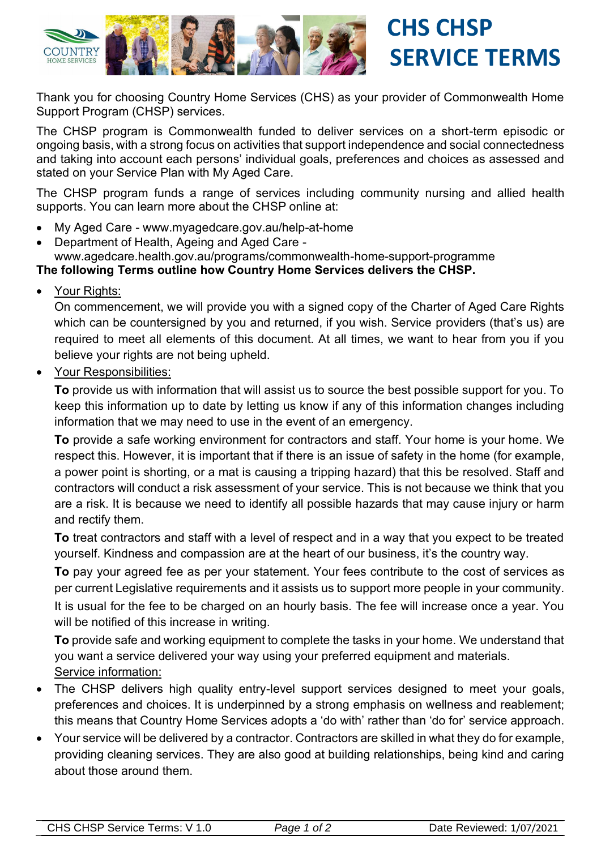

 **CHS CHSP SERVICE TERMS**

Thank you for choosing Country Home Services (CHS) as your provider of Commonwealth Home Support Program (CHSP) services.

The CHSP program is Commonwealth funded to deliver services on a short-term episodic or ongoing basis, with a strong focus on activities that support independence and social connectedness and taking into account each persons' individual goals, preferences and choices as assessed and stated on your Service Plan with My Aged Care.

The CHSP program funds a range of services including community nursing and allied health supports. You can learn more about the CHSP online at:

- My Aged Care www.myagedcare.gov.au/help-at-home
- Department of Health, Ageing and Aged Care www.agedcare.health.gov.au/programs/commonwealth-home-support-programme

## **The following Terms outline how Country Home Services delivers the CHSP.**

Your Rights:

On commencement, we will provide you with a signed copy of the Charter of Aged Care Rights which can be countersigned by you and returned, if you wish. Service providers (that's us) are required to meet all elements of this document. At all times, we want to hear from you if you believe your rights are not being upheld.

Your Responsibilities:

**To** provide us with information that will assist us to source the best possible support for you. To keep this information up to date by letting us know if any of this information changes including information that we may need to use in the event of an emergency.

**To** provide a safe working environment for contractors and staff. Your home is your home. We respect this. However, it is important that if there is an issue of safety in the home (for example, a power point is shorting, or a mat is causing a tripping hazard) that this be resolved. Staff and contractors will conduct a risk assessment of your service. This is not because we think that you are a risk. It is because we need to identify all possible hazards that may cause injury or harm and rectify them.

**To** treat contractors and staff with a level of respect and in a way that you expect to be treated yourself. Kindness and compassion are at the heart of our business, it's the country way.

**To** pay your agreed fee as per your statement. Your fees contribute to the cost of services as per current Legislative requirements and it assists us to support more people in your community. It is usual for the fee to be charged on an hourly basis. The fee will increase once a year. You will be notified of this increase in writing.

**To** provide safe and working equipment to complete the tasks in your home. We understand that you want a service delivered your way using your preferred equipment and materials. Service information:

- The CHSP delivers high quality entry-level support services designed to meet your goals, preferences and choices. It is underpinned by a strong emphasis on wellness and reablement; this means that Country Home Services adopts a 'do with' rather than 'do for' service approach.
- Your service will be delivered by a contractor. Contractors are skilled in what they do for example, providing cleaning services. They are also good at building relationships, being kind and caring about those around them.